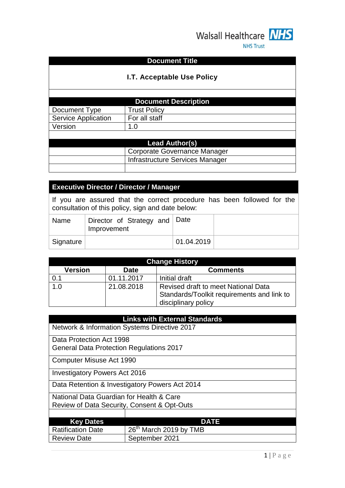

#### **Document Title**

### **I.T. Acceptable Use Policy**

| <b>Document Description</b> |                     |  |  |
|-----------------------------|---------------------|--|--|
| Document Type               | <b>Trust Policy</b> |  |  |
| <b>Service Application</b>  | For all staff       |  |  |
| Version                     | 1.0                 |  |  |
|                             |                     |  |  |
| <b>Lead Author(s)</b>       |                     |  |  |

| $\sim$ |                                 |  |
|--------|---------------------------------|--|
|        | Corporate Governance Manager    |  |
|        | Infrastructure Services Manager |  |
|        |                                 |  |

### **Executive Director / Director / Manager**

If you are assured that the correct procedure has been followed for the consultation of this policy, sign and date below:

| Name      | Director of Strategy and Date<br>Improvement |            |  |
|-----------|----------------------------------------------|------------|--|
| Signature |                                              | 01.04.2019 |  |

| <b>Change History</b>                                                 |            |                                                                   |  |
|-----------------------------------------------------------------------|------------|-------------------------------------------------------------------|--|
| <b>Version</b><br><b>Comments</b><br><b>Date</b>                      |            |                                                                   |  |
| 0.1                                                                   | 01.11.2017 | Initial draft                                                     |  |
| $\overline{1.0}$<br>21.08.2018<br>Revised draft to meet National Data |            | Standards/Toolkit requirements and link to<br>disciplinary policy |  |

| <b>Links with External Standards</b>                                        |                                              |  |  |  |
|-----------------------------------------------------------------------------|----------------------------------------------|--|--|--|
|                                                                             | Network & Information Systems Directive 2017 |  |  |  |
| Data Protection Act 1998<br><b>General Data Protection Regulations 2017</b> |                                              |  |  |  |
| Computer Misuse Act 1990                                                    |                                              |  |  |  |
| <b>Investigatory Powers Act 2016</b>                                        |                                              |  |  |  |
| Data Retention & Investigatory Powers Act 2014                              |                                              |  |  |  |
| National Data Guardian for Health & Care                                    |                                              |  |  |  |
| Review of Data Security, Consent & Opt-Outs                                 |                                              |  |  |  |
|                                                                             |                                              |  |  |  |
| <b>DATE</b><br><b>Key Dates</b>                                             |                                              |  |  |  |
| 26 <sup>th</sup> March 2019 by TMB<br><b>Ratification Date</b>              |                                              |  |  |  |
| September 2021<br><b>Review Date</b>                                        |                                              |  |  |  |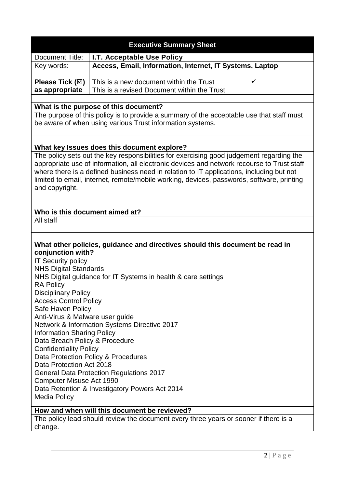|                                                                                    | <b>Executive Summary Sheet</b>                                                             |              |  |
|------------------------------------------------------------------------------------|--------------------------------------------------------------------------------------------|--------------|--|
| <b>Document Title:</b>                                                             | I.T. Acceptable Use Policy                                                                 |              |  |
| Key words:                                                                         | Access, Email, Information, Internet, IT Systems, Laptop                                   |              |  |
|                                                                                    |                                                                                            |              |  |
| Please Tick (☑)                                                                    | This is a new document within the Trust                                                    | $\checkmark$ |  |
| as appropriate                                                                     | This is a revised Document within the Trust                                                |              |  |
|                                                                                    | What is the purpose of this document?                                                      |              |  |
|                                                                                    | The purpose of this policy is to provide a summary of the acceptable use that staff must   |              |  |
|                                                                                    | be aware of when using various Trust information systems.                                  |              |  |
|                                                                                    |                                                                                            |              |  |
|                                                                                    | What key Issues does this document explore?                                                |              |  |
|                                                                                    | The policy sets out the key responsibilities for exercising good judgement regarding the   |              |  |
|                                                                                    | appropriate use of information, all electronic devices and network recourse to Trust staff |              |  |
|                                                                                    | where there is a defined business need in relation to IT applications, including but not   |              |  |
|                                                                                    | limited to email, internet, remote/mobile working, devices, passwords, software, printing  |              |  |
| and copyright.                                                                     |                                                                                            |              |  |
|                                                                                    |                                                                                            |              |  |
| Who is this document aimed at?                                                     |                                                                                            |              |  |
| All staff                                                                          |                                                                                            |              |  |
|                                                                                    |                                                                                            |              |  |
| conjunction with?                                                                  | What other policies, guidance and directives should this document be read in               |              |  |
| <b>IT Security policy</b>                                                          |                                                                                            |              |  |
| <b>NHS Digital Standards</b>                                                       |                                                                                            |              |  |
|                                                                                    | NHS Digital guidance for IT Systems in health & care settings                              |              |  |
| <b>RA Policy</b>                                                                   |                                                                                            |              |  |
| <b>Disciplinary Policy</b><br><b>Access Control Policy</b>                         |                                                                                            |              |  |
| Safe Haven Policy                                                                  |                                                                                            |              |  |
| Anti-Virus & Malware user guide                                                    |                                                                                            |              |  |
|                                                                                    | Network & Information Systems Directive 2017                                               |              |  |
| <b>Information Sharing Policy</b>                                                  |                                                                                            |              |  |
| Data Breach Policy & Procedure                                                     |                                                                                            |              |  |
| <b>Confidentiality Policy</b>                                                      |                                                                                            |              |  |
| Data Protection Policy & Procedures                                                |                                                                                            |              |  |
| Data Protection Act 2018                                                           |                                                                                            |              |  |
| <b>General Data Protection Regulations 2017</b><br><b>Computer Misuse Act 1990</b> |                                                                                            |              |  |
|                                                                                    | Data Retention & Investigatory Powers Act 2014                                             |              |  |
| <b>Media Policy</b>                                                                |                                                                                            |              |  |
|                                                                                    |                                                                                            |              |  |
|                                                                                    | How and when will this document be reviewed?                                               |              |  |
|                                                                                    | The policy lead should review the document every three years or sooner if there is a       |              |  |
| change.                                                                            |                                                                                            |              |  |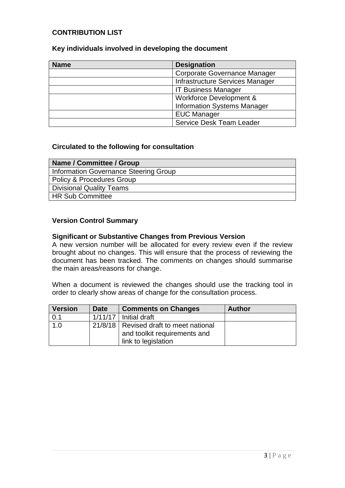### **CONTRIBUTION LIST**

| Key individuals involved in developing the document |  |
|-----------------------------------------------------|--|
|-----------------------------------------------------|--|

| <b>Name</b> | <b>Designation</b>                 |  |
|-------------|------------------------------------|--|
|             | Corporate Governance Manager       |  |
|             | Infrastructure Services Manager    |  |
|             | <b>IT Business Manager</b>         |  |
|             | Workforce Development &            |  |
|             | <b>Information Systems Manager</b> |  |
|             | <b>EUC Manager</b>                 |  |
|             | <b>Service Desk Team Leader</b>    |  |

#### **Circulated to the following for consultation**

| Name / Committee / Group              |
|---------------------------------------|
| Information Governance Steering Group |
| Policy & Procedures Group             |
| Divisional Quality Teams              |
| HR Sub Committee                      |

#### **Version Control Summary**

#### **Significant or Substantive Changes from Previous Version**

A new version number will be allocated for every review even if the review brought about no changes. This will ensure that the process of reviewing the document has been tracked. The comments on changes should summarise the main areas/reasons for change.

When a document is reviewed the changes should use the tracking tool in order to clearly show areas of change for the consultation process.

| <b>Version</b> | <b>Date</b> | <b>Comments on Changes</b>                                                                      | <b>Author</b> |
|----------------|-------------|-------------------------------------------------------------------------------------------------|---------------|
| 0.1            |             | $1/11/17$ Initial draft                                                                         |               |
| 1.0            |             | 21/8/18   Revised draft to meet national<br>and toolkit requirements and<br>link to legislation |               |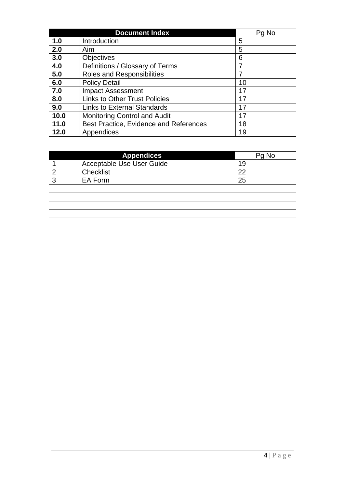| <b>Document Index</b> |                                        | Pg No |
|-----------------------|----------------------------------------|-------|
| 1.0                   | Introduction                           | 5     |
| 2.0                   | Aim                                    | 5     |
| 3.0                   | <b>Objectives</b>                      | 6     |
| 4.0                   | Definitions / Glossary of Terms        | 7     |
| 5.0                   | <b>Roles and Responsibilities</b>      |       |
| 6.0                   | <b>Policy Detail</b>                   | 10    |
| 7.0                   | <b>Impact Assessment</b>               | 17    |
| 8.0                   | <b>Links to Other Trust Policies</b>   | 17    |
| 9.0                   | <b>Links to External Standards</b>     | 17    |
| 10.0                  | <b>Monitoring Control and Audit</b>    | 17    |
| 11.0                  | Best Practice, Evidence and References | 18    |
| 12.0                  | Appendices                             | 19    |

| <b>Appendices</b> |                                  | Pg No |
|-------------------|----------------------------------|-------|
|                   | <b>Acceptable Use User Guide</b> | 19    |
| ◠                 | Checklist                        | 22    |
| 3                 | EA Form                          | 25    |
|                   |                                  |       |
|                   |                                  |       |
|                   |                                  |       |
|                   |                                  |       |
|                   |                                  |       |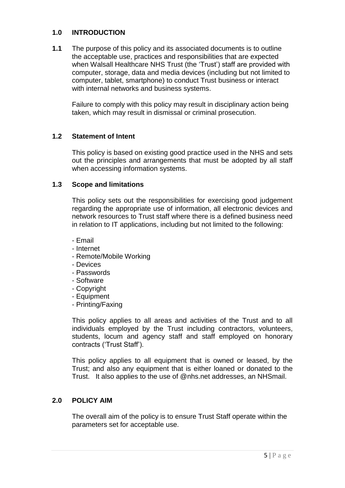#### **1.0 INTRODUCTION**

**1.1** The purpose of this policy and its associated documents is to outline the acceptable use, practices and responsibilities that are expected when Walsall Healthcare NHS Trust (the 'Trust') staff are provided with computer, storage, data and media devices (including but not limited to computer, tablet, smartphone) to conduct Trust business or interact with internal networks and business systems.

Failure to comply with this policy may result in disciplinary action being taken, which may result in dismissal or criminal prosecution.

#### **1.2 Statement of Intent**

This policy is based on existing good practice used in the NHS and sets out the principles and arrangements that must be adopted by all staff when accessing information systems.

#### **1.3 Scope and limitations**

This policy sets out the responsibilities for exercising good judgement regarding the appropriate use of information, all electronic devices and network resources to Trust staff where there is a defined business need in relation to IT applications, including but not limited to the following:

- Email
- Internet
- Remote/Mobile Working
- Devices
- Passwords
- Software
- Copyright
- Equipment
- Printing/Faxing

This policy applies to all areas and activities of the Trust and to all individuals employed by the Trust including contractors, volunteers, students, locum and agency staff and staff employed on honorary contracts ('Trust Staff').

This policy applies to all equipment that is owned or leased, by the Trust; and also any equipment that is either loaned or donated to the Trust. It also applies to the use of @nhs.net addresses, an NHSmail.

#### **2.0 POLICY AIM**

The overall aim of the policy is to ensure Trust Staff operate within the parameters set for acceptable use.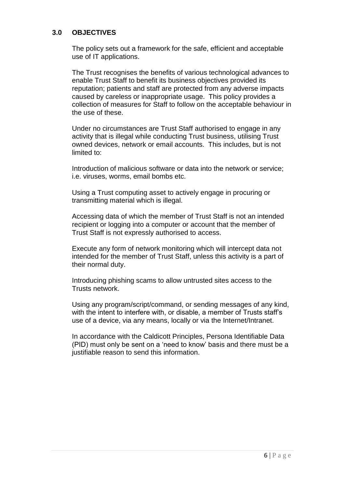#### **3.0 OBJECTIVES**

The policy sets out a framework for the safe, efficient and acceptable use of IT applications.

The Trust recognises the benefits of various technological advances to enable Trust Staff to benefit its business objectives provided its reputation; patients and staff are protected from any adverse impacts caused by careless or inappropriate usage. This policy provides a collection of measures for Staff to follow on the acceptable behaviour in the use of these.

Under no circumstances are Trust Staff authorised to engage in any activity that is illegal while conducting Trust business, utilising Trust owned devices, network or email accounts. This includes, but is not limited to:

Introduction of malicious software or data into the network or service; i.e. viruses, worms, email bombs etc.

Using a Trust computing asset to actively engage in procuring or transmitting material which is illegal.

Accessing data of which the member of Trust Staff is not an intended recipient or logging into a computer or account that the member of Trust Staff is not expressly authorised to access.

Execute any form of network monitoring which will intercept data not intended for the member of Trust Staff, unless this activity is a part of their normal duty.

Introducing phishing scams to allow untrusted sites access to the Trusts network.

Using any program/script/command, or sending messages of any kind, with the intent to interfere with, or disable, a member of Trusts staff's use of a device, via any means, locally or via the Internet/Intranet.

In accordance with the Caldicott Principles, Persona Identifiable Data (PID) must only be sent on a 'need to know' basis and there must be a justifiable reason to send this information.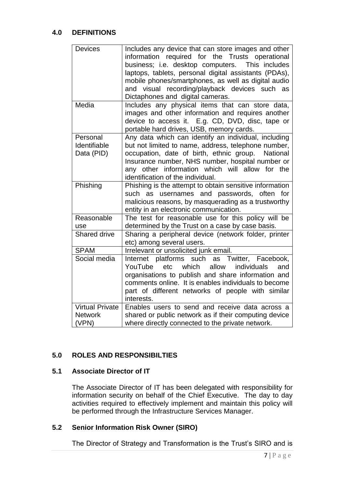#### **4.0 DEFINITIONS**

| <b>Devices</b>                                    | Includes any device that can store images and other<br>information required for the Trusts operational<br>business; i.e. desktop computers. This includes<br>laptops, tablets, personal digital assistants (PDAs),<br>mobile phones/smartphones, as well as digital audio<br>and visual recording/playback devices such as<br>Dictaphones and digital cameras. |
|---------------------------------------------------|----------------------------------------------------------------------------------------------------------------------------------------------------------------------------------------------------------------------------------------------------------------------------------------------------------------------------------------------------------------|
| Media                                             | Includes any physical items that can store data,<br>images and other information and requires another<br>device to access it. E.g. CD, DVD, disc, tape or<br>portable hard drives, USB, memory cards.                                                                                                                                                          |
| Personal<br>Identifiable<br>Data (PID)            | Any data which can identify an individual, including<br>but not limited to name, address, telephone number,<br>occupation, date of birth, ethnic group.<br>National<br>Insurance number, NHS number, hospital number or<br>any other information which will allow for the<br>identification of the individual.                                                 |
| Phishing                                          | Phishing is the attempt to obtain sensitive information<br>such as<br>usernames and passwords, often<br>for<br>malicious reasons, by masquerading as a trustworthy<br>entity in an electronic communication.                                                                                                                                                   |
| Reasonable<br>use                                 | The test for reasonable use for this policy will be<br>determined by the Trust on a case by case basis.                                                                                                                                                                                                                                                        |
| <b>Shared drive</b>                               | Sharing a peripheral device (network folder, printer<br>etc) among several users.                                                                                                                                                                                                                                                                              |
| <b>SPAM</b>                                       | Irrelevant or unsolicited junk email.                                                                                                                                                                                                                                                                                                                          |
| Social media                                      | Internet platforms<br>such<br>as Twitter, Facebook,<br>YouTube<br>etc<br>which<br>allow<br>individuals<br>and<br>organisations to publish and share information and<br>comments online. It is enables individuals to become<br>part of different networks of people with similar<br>interests.                                                                 |
| <b>Virtual Private</b><br><b>Network</b><br>(VPN) | Enables users to send and receive data across a<br>shared or public network as if their computing device<br>where directly connected to the private network.                                                                                                                                                                                                   |

#### **5.0 ROLES AND RESPONSIBILTIES**

#### **5.1 Associate Director of IT**

The Associate Director of IT has been delegated with responsibility for information security on behalf of the Chief Executive. The day to day activities required to effectively implement and maintain this policy will be performed through the Infrastructure Services Manager.

## **5.2 Senior Information Risk Owner (SIRO)**

The Director of Strategy and Transformation is the Trust's SIRO and is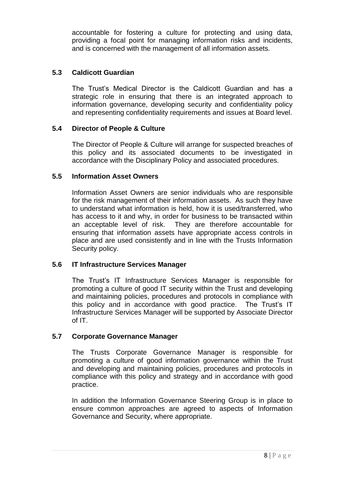accountable for fostering a culture for protecting and using data, providing a focal point for managing information risks and incidents, and is concerned with the management of all information assets.

### **5.3 Caldicott Guardian**

The Trust's Medical Director is the Caldicott Guardian and has a strategic role in ensuring that there is an integrated approach to information governance, developing security and confidentiality policy and representing confidentiality requirements and issues at Board level.

## **5.4 Director of People & Culture**

The Director of People & Culture will arrange for suspected breaches of this policy and its associated documents to be investigated in accordance with the Disciplinary Policy and associated procedures.

## **5.5 Information Asset Owners**

Information Asset Owners are senior individuals who are responsible for the risk management of their information assets. As such they have to understand what information is held, how it is used/transferred, who has access to it and why, in order for business to be transacted within an acceptable level of risk. They are therefore accountable for ensuring that information assets have appropriate access controls in place and are used consistently and in line with the Trusts Information Security policy.

## **5.6 IT Infrastructure Services Manager**

The Trust's IT Infrastructure Services Manager is responsible for promoting a culture of good IT security within the Trust and developing and maintaining policies, procedures and protocols in compliance with this policy and in accordance with good practice. The Trust's IT Infrastructure Services Manager will be supported by Associate Director of IT.

#### **5.7 Corporate Governance Manager**

The Trusts Corporate Governance Manager is responsible for promoting a culture of good information governance within the Trust and developing and maintaining policies, procedures and protocols in compliance with this policy and strategy and in accordance with good practice.

In addition the Information Governance Steering Group is in place to ensure common approaches are agreed to aspects of Information Governance and Security, where appropriate.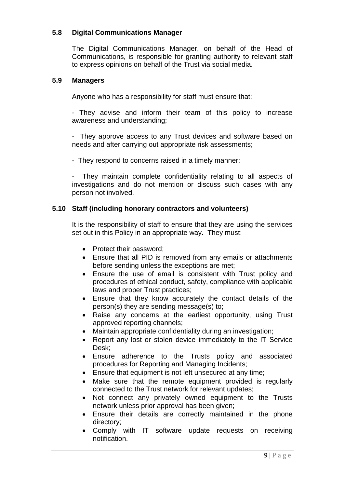#### **5.8 Digital Communications Manager**

The Digital Communications Manager, on behalf of the Head of Communications, is responsible for granting authority to relevant staff to express opinions on behalf of the Trust via social media.

#### **5.9 Managers**

Anyone who has a responsibility for staff must ensure that:

- They advise and inform their team of this policy to increase awareness and understanding;

- They approve access to any Trust devices and software based on needs and after carrying out appropriate risk assessments;

- They respond to concerns raised in a timely manner;

- They maintain complete confidentiality relating to all aspects of investigations and do not mention or discuss such cases with any person not involved.

#### **5.10 Staff (including honorary contractors and volunteers)**

It is the responsibility of staff to ensure that they are using the services set out in this Policy in an appropriate way. They must:

- Protect their password;
- Ensure that all PID is removed from any emails or attachments before sending unless the exceptions are met;
- Ensure the use of email is consistent with Trust policy and procedures of ethical conduct, safety, compliance with applicable laws and proper Trust practices;
- Ensure that they know accurately the contact details of the person(s) they are sending message(s) to;
- Raise any concerns at the earliest opportunity, using Trust approved reporting channels;
- Maintain appropriate confidentiality during an investigation;
- Report any lost or stolen device immediately to the IT Service Desk;
- Ensure adherence to the Trusts policy and associated procedures for Reporting and Managing Incidents;
- **Ensure that equipment is not left unsecured at any time;**
- Make sure that the remote equipment provided is regularly connected to the Trust network for relevant updates;
- Not connect any privately owned equipment to the Trusts network unless prior approval has been given;
- Ensure their details are correctly maintained in the phone directory;
- Comply with IT software update requests on receiving notification.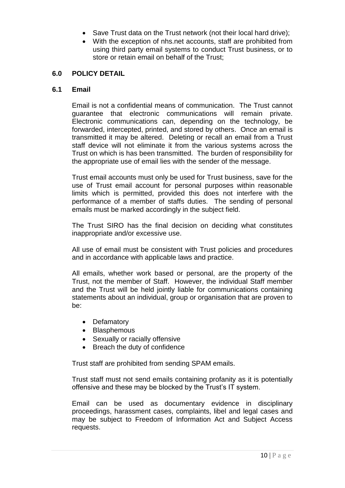- Save Trust data on the Trust network (not their local hard drive);
- With the exception of nhs.net accounts, staff are prohibited from using third party email systems to conduct Trust business, or to store or retain email on behalf of the Trust;

#### **6.0 POLICY DETAIL**

#### **6.1 Email**

Email is not a confidential means of communication. The Trust cannot guarantee that electronic communications will remain private. Electronic communications can, depending on the technology, be forwarded, intercepted, printed, and stored by others. Once an email is transmitted it may be altered. Deleting or recall an email from a Trust staff device will not eliminate it from the various systems across the Trust on which is has been transmitted. The burden of responsibility for the appropriate use of email lies with the sender of the message.

Trust email accounts must only be used for Trust business, save for the use of Trust email account for personal purposes within reasonable limits which is permitted, provided this does not interfere with the performance of a member of staffs duties. The sending of personal emails must be marked accordingly in the subject field.

The Trust SIRO has the final decision on deciding what constitutes inappropriate and/or excessive use.

All use of email must be consistent with Trust policies and procedures and in accordance with applicable laws and practice.

All emails, whether work based or personal, are the property of the Trust, not the member of Staff. However, the individual Staff member and the Trust will be held jointly liable for communications containing statements about an individual, group or organisation that are proven to be:

- Defamatory
- Blasphemous
- Sexually or racially offensive
- Breach the duty of confidence

Trust staff are prohibited from sending SPAM emails.

Trust staff must not send emails containing profanity as it is potentially offensive and these may be blocked by the Trust's IT system.

Email can be used as documentary evidence in disciplinary proceedings, harassment cases, complaints, libel and legal cases and may be subject to Freedom of Information Act and Subject Access requests.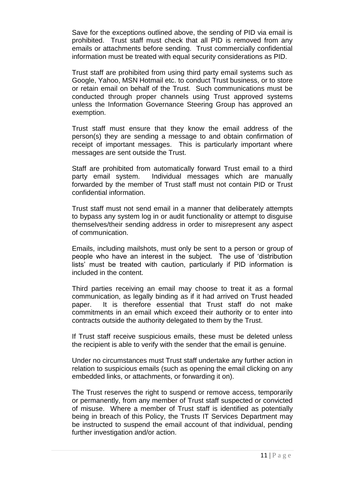Save for the exceptions outlined above, the sending of PID via email is prohibited. Trust staff must check that all PID is removed from any emails or attachments before sending. Trust commercially confidential information must be treated with equal security considerations as PID.

Trust staff are prohibited from using third party email systems such as Google, Yahoo, MSN Hotmail etc. to conduct Trust business, or to store or retain email on behalf of the Trust. Such communications must be conducted through proper channels using Trust approved systems unless the Information Governance Steering Group has approved an exemption.

Trust staff must ensure that they know the email address of the person(s) they are sending a message to and obtain confirmation of receipt of important messages. This is particularly important where messages are sent outside the Trust.

Staff are prohibited from automatically forward Trust email to a third party email system. Individual messages which are manually forwarded by the member of Trust staff must not contain PID or Trust confidential information.

Trust staff must not send email in a manner that deliberately attempts to bypass any system log in or audit functionality or attempt to disguise themselves/their sending address in order to misrepresent any aspect of communication.

Emails, including mailshots, must only be sent to a person or group of people who have an interest in the subject. The use of 'distribution lists' must be treated with caution, particularly if PID information is included in the content.

Third parties receiving an email may choose to treat it as a formal communication, as legally binding as if it had arrived on Trust headed paper. It is therefore essential that Trust staff do not make commitments in an email which exceed their authority or to enter into contracts outside the authority delegated to them by the Trust.

If Trust staff receive suspicious emails, these must be deleted unless the recipient is able to verify with the sender that the email is genuine.

Under no circumstances must Trust staff undertake any further action in relation to suspicious emails (such as opening the email clicking on any embedded links, or attachments, or forwarding it on).

The Trust reserves the right to suspend or remove access, temporarily or permanently, from any member of Trust staff suspected or convicted of misuse. Where a member of Trust staff is identified as potentially being in breach of this Policy, the Trusts IT Services Department may be instructed to suspend the email account of that individual, pending further investigation and/or action.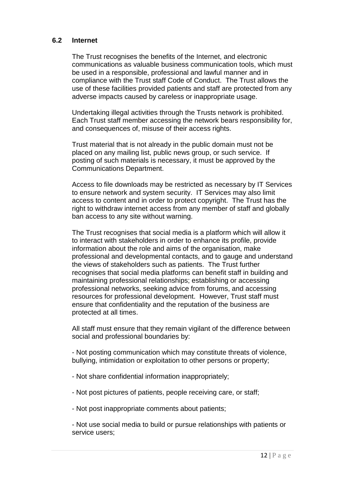#### **6.2 Internet**

The Trust recognises the benefits of the Internet, and electronic communications as valuable business communication tools, which must be used in a responsible, professional and lawful manner and in compliance with the Trust staff Code of Conduct. The Trust allows the use of these facilities provided patients and staff are protected from any adverse impacts caused by careless or inappropriate usage.

Undertaking illegal activities through the Trusts network is prohibited. Each Trust staff member accessing the network bears responsibility for, and consequences of, misuse of their access rights.

Trust material that is not already in the public domain must not be placed on any mailing list, public news group, or such service. If posting of such materials is necessary, it must be approved by the Communications Department.

Access to file downloads may be restricted as necessary by IT Services to ensure network and system security. IT Services may also limit access to content and in order to protect copyright. The Trust has the right to withdraw internet access from any member of staff and globally ban access to any site without warning.

The Trust recognises that social media is a platform which will allow it to interact with stakeholders in order to enhance its profile, provide information about the role and aims of the organisation, make professional and developmental contacts, and to gauge and understand the views of stakeholders such as patients. The Trust further recognises that social media platforms can benefit staff in building and maintaining professional relationships; establishing or accessing professional networks, seeking advice from forums, and accessing resources for professional development. However, Trust staff must ensure that confidentiality and the reputation of the business are protected at all times.

All staff must ensure that they remain vigilant of the difference between social and professional boundaries by:

- Not posting communication which may constitute threats of violence, bullying, intimidation or exploitation to other persons or property;

- Not share confidential information inappropriately;
- Not post pictures of patients, people receiving care, or staff;
- Not post inappropriate comments about patients;

- Not use social media to build or pursue relationships with patients or service users: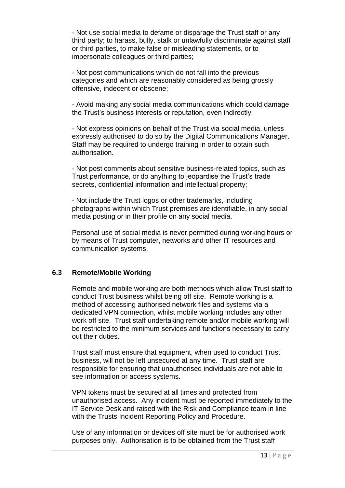- Not use social media to defame or disparage the Trust staff or any third party; to harass, bully, stalk or unlawfully discriminate against staff or third parties, to make false or misleading statements, or to impersonate colleagues or third parties;

- Not post communications which do not fall into the previous categories and which are reasonably considered as being grossly offensive, indecent or obscene;

- Avoid making any social media communications which could damage the Trust's business interests or reputation, even indirectly;

- Not express opinions on behalf of the Trust via social media, unless expressly authorised to do so by the Digital Communications Manager. Staff may be required to undergo training in order to obtain such authorisation.

- Not post comments about sensitive business-related topics, such as Trust performance, or do anything to jeopardise the Trust's trade secrets, confidential information and intellectual property;

- Not include the Trust logos or other trademarks, including photographs within which Trust premises are identifiable, in any social media posting or in their profile on any social media.

Personal use of social media is never permitted during working hours or by means of Trust computer, networks and other IT resources and communication systems.

#### **6.3 Remote/Mobile Working**

Remote and mobile working are both methods which allow Trust staff to conduct Trust business whilst being off site. Remote working is a method of accessing authorised network files and systems via a dedicated VPN connection, whilst mobile working includes any other work off site. Trust staff undertaking remote and/or mobile working will be restricted to the minimum services and functions necessary to carry out their duties.

Trust staff must ensure that equipment, when used to conduct Trust business, will not be left unsecured at any time. Trust staff are responsible for ensuring that unauthorised individuals are not able to see information or access systems.

VPN tokens must be secured at all times and protected from unauthorised access. Any incident must be reported immediately to the IT Service Desk and raised with the Risk and Compliance team in line with the Trusts Incident Reporting Policy and Procedure.

Use of any information or devices off site must be for authorised work purposes only. Authorisation is to be obtained from the Trust staff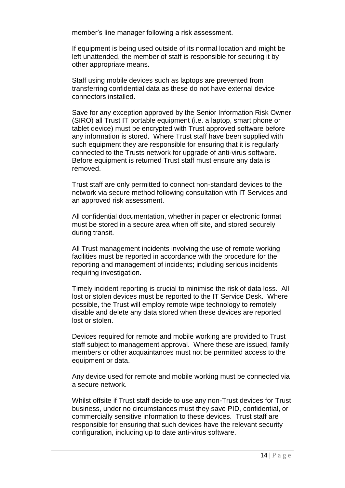member's line manager following a risk assessment.

If equipment is being used outside of its normal location and might be left unattended, the member of staff is responsible for securing it by other appropriate means.

Staff using mobile devices such as laptops are prevented from transferring confidential data as these do not have external device connectors installed.

Save for any exception approved by the Senior Information Risk Owner (SIRO) all Trust IT portable equipment (i.e. a laptop, smart phone or tablet device) must be encrypted with Trust approved software before any information is stored. Where Trust staff have been supplied with such equipment they are responsible for ensuring that it is regularly connected to the Trusts network for upgrade of anti-virus software. Before equipment is returned Trust staff must ensure any data is removed.

Trust staff are only permitted to connect non-standard devices to the network via secure method following consultation with IT Services and an approved risk assessment.

All confidential documentation, whether in paper or electronic format must be stored in a secure area when off site, and stored securely during transit.

All Trust management incidents involving the use of remote working facilities must be reported in accordance with the procedure for the reporting and management of incidents; including serious incidents requiring investigation.

Timely incident reporting is crucial to minimise the risk of data loss. All lost or stolen devices must be reported to the IT Service Desk. Where possible, the Trust will employ remote wipe technology to remotely disable and delete any data stored when these devices are reported lost or stolen.

Devices required for remote and mobile working are provided to Trust staff subject to management approval. Where these are issued, family members or other acquaintances must not be permitted access to the equipment or data.

Any device used for remote and mobile working must be connected via a secure network.

Whilst offsite if Trust staff decide to use any non-Trust devices for Trust business, under no circumstances must they save PID, confidential, or commercially sensitive information to these devices. Trust staff are responsible for ensuring that such devices have the relevant security configuration, including up to date anti-virus software.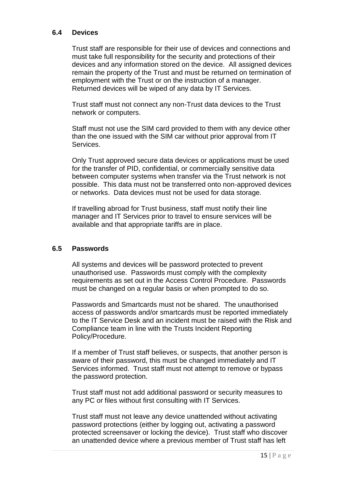#### **6.4 Devices**

Trust staff are responsible for their use of devices and connections and must take full responsibility for the security and protections of their devices and any information stored on the device. All assigned devices remain the property of the Trust and must be returned on termination of employment with the Trust or on the instruction of a manager. Returned devices will be wiped of any data by IT Services.

Trust staff must not connect any non-Trust data devices to the Trust network or computers.

Staff must not use the SIM card provided to them with any device other than the one issued with the SIM car without prior approval from IT Services.

Only Trust approved secure data devices or applications must be used for the transfer of PID, confidential, or commercially sensitive data between computer systems when transfer via the Trust network is not possible. This data must not be transferred onto non-approved devices or networks. Data devices must not be used for data storage.

If travelling abroad for Trust business, staff must notify their line manager and IT Services prior to travel to ensure services will be available and that appropriate tariffs are in place.

#### **6.5 Passwords**

All systems and devices will be password protected to prevent unauthorised use. Passwords must comply with the complexity requirements as set out in the Access Control Procedure. Passwords must be changed on a regular basis or when prompted to do so.

Passwords and Smartcards must not be shared. The unauthorised access of passwords and/or smartcards must be reported immediately to the IT Service Desk and an incident must be raised with the Risk and Compliance team in line with the Trusts Incident Reporting Policy/Procedure.

If a member of Trust staff believes, or suspects, that another person is aware of their password, this must be changed immediately and IT Services informed. Trust staff must not attempt to remove or bypass the password protection.

Trust staff must not add additional password or security measures to any PC or files without first consulting with IT Services.

Trust staff must not leave any device unattended without activating password protections (either by logging out, activating a password protected screensaver or locking the device). Trust staff who discover an unattended device where a previous member of Trust staff has left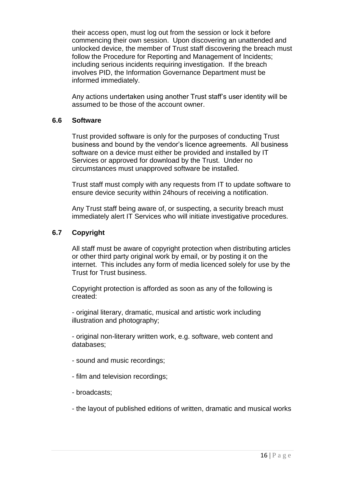their access open, must log out from the session or lock it before commencing their own session. Upon discovering an unattended and unlocked device, the member of Trust staff discovering the breach must follow the Procedure for Reporting and Management of Incidents; including serious incidents requiring investigation. If the breach involves PID, the Information Governance Department must be informed immediately.

Any actions undertaken using another Trust staff's user identity will be assumed to be those of the account owner.

#### **6.6 Software**

Trust provided software is only for the purposes of conducting Trust business and bound by the vendor's licence agreements. All business software on a device must either be provided and installed by IT Services or approved for download by the Trust. Under no circumstances must unapproved software be installed.

Trust staff must comply with any requests from IT to update software to ensure device security within 24hours of receiving a notification.

Any Trust staff being aware of, or suspecting, a security breach must immediately alert IT Services who will initiate investigative procedures.

#### **6.7 Copyright**

All staff must be aware of copyright protection when distributing articles or other third party original work by email, or by posting it on the internet. This includes any form of media licenced solely for use by the Trust for Trust business.

Copyright protection is afforded as soon as any of the following is created:

- original literary, dramatic, musical and artistic work including illustration and photography;

- original non-literary written work, e.g. software, web content and databases;

- sound and music recordings;
- film and television recordings;
- broadcasts;
- the layout of published editions of written, dramatic and musical works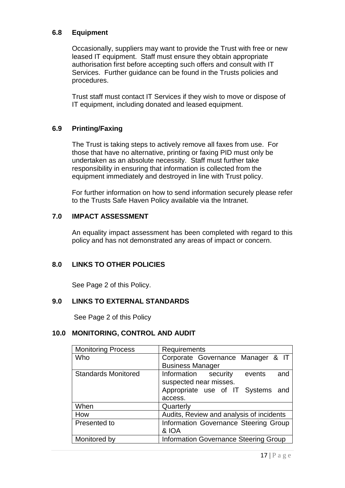#### **6.8 Equipment**

Occasionally, suppliers may want to provide the Trust with free or new leased IT equipment. Staff must ensure they obtain appropriate authorisation first before accepting such offers and consult with IT Services. Further guidance can be found in the Trusts policies and procedures.

Trust staff must contact IT Services if they wish to move or dispose of IT equipment, including donated and leased equipment.

#### **6.9 Printing/Faxing**

The Trust is taking steps to actively remove all faxes from use. For those that have no alternative, printing or faxing PID must only be undertaken as an absolute necessity. Staff must further take responsibility in ensuring that information is collected from the equipment immediately and destroyed in line with Trust policy.

For further information on how to send information securely please refer to the Trusts Safe Haven Policy available via the Intranet.

#### **7.0 IMPACT ASSESSMENT**

An equality impact assessment has been completed with regard to this policy and has not demonstrated any areas of impact or concern.

#### **8.0 LINKS TO OTHER POLICIES**

See Page 2 of this Policy.

#### **9.0 LINKS TO EXTERNAL STANDARDS**

See Page 2 of this Policy

#### **10.0 MONITORING, CONTROL AND AUDIT**

| <b>Monitoring Process</b>  | Requirements                                 |  |  |
|----------------------------|----------------------------------------------|--|--|
| Who                        | Corporate Governance Manager & IT            |  |  |
|                            | <b>Business Manager</b>                      |  |  |
| <b>Standards Monitored</b> | Information security<br>events<br>and        |  |  |
|                            | suspected near misses.                       |  |  |
|                            | Appropriate use of IT Systems and            |  |  |
|                            | access.                                      |  |  |
| When                       | Quarterly                                    |  |  |
| How                        | Audits, Review and analysis of incidents     |  |  |
| Presented to               | Information Governance Steering Group        |  |  |
|                            | & IOA                                        |  |  |
| Monitored by               | <b>Information Governance Steering Group</b> |  |  |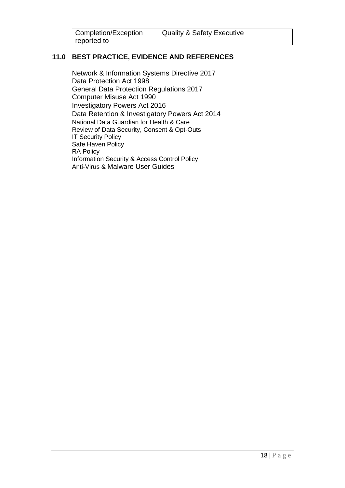| Completion/Exception | Quality & Safety Executive |
|----------------------|----------------------------|
| reported to          |                            |

## **11.0 BEST PRACTICE, EVIDENCE AND REFERENCES**

[Network & Information Systems Directive 2017](https://www.gov.uk/government/consultations/consultation-on-the-security-of-network-and-information-systems-directive) [Data Protection Act 1998](http://www.legislation.gov.uk/all?title=data%20protection) [General Data Protection Regulations 2017](https://www.gov.uk/government/uploads/system/uploads/attachment_data/file/635900/2017-08-07_DP_Bill_-_Statement_of_Intent.pdf) [Computer Misuse Act 1990](http://www.legislation.gov.uk/ukpga/1990/18/contents) [Investigatory Powers Act 2016](http://www.legislation.gov.uk/ukpga/2016/25/contents) [Data Retention & Investigatory Powers Act 2014](http://www.legislation.gov.uk/ukpga/2014/27/contents) [National Data Guardian for Health & Care](https://www.gov.uk/government/uploads/system/uploads/attachment_data/file/535024/data-security-review.PDF) [Review of Data Security, Consent & Opt-Outs](https://www.gov.uk/government/uploads/system/uploads/attachment_data/file/535024/data-security-review.PDF) **IT Security Policy** Safe Haven Policy RA Policy Information Security & Access Control Policy Anti-Virus & Malware User Guides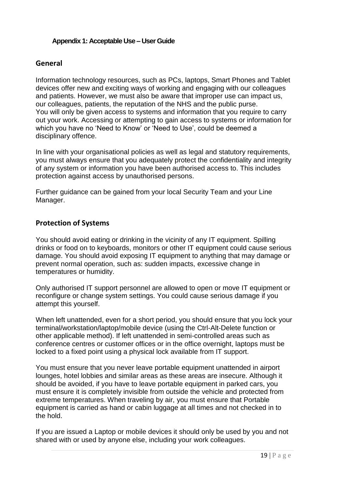#### **Appendix 1: Acceptable Use – User Guide**

#### **General**

Information technology resources, such as PCs, laptops, Smart Phones and Tablet devices offer new and exciting ways of working and engaging with our colleagues and patients. However, we must also be aware that improper use can impact us, our colleagues, patients, the reputation of the NHS and the public purse. You will only be given access to systems and information that you require to carry out your work. Accessing or attempting to gain access to systems or information for which you have no 'Need to Know' or 'Need to Use', could be deemed a disciplinary offence.

In line with your organisational policies as well as legal and statutory requirements, you must always ensure that you adequately protect the confidentiality and integrity of any system or information you have been authorised access to. This includes protection against access by unauthorised persons.

Further guidance can be gained from your local Security Team and your Line Manager.

#### **Protection of Systems**

You should avoid eating or drinking in the vicinity of any IT equipment. Spilling drinks or food on to keyboards, monitors or other IT equipment could cause serious damage. You should avoid exposing IT equipment to anything that may damage or prevent normal operation, such as: sudden impacts, excessive change in temperatures or humidity.

Only authorised IT support personnel are allowed to open or move IT equipment or reconfigure or change system settings. You could cause serious damage if you attempt this yourself.

When left unattended, even for a short period, you should ensure that you lock your terminal/workstation/laptop/mobile device (using the Ctrl-Alt-Delete function or other applicable method). If left unattended in semi-controlled areas such as conference centres or customer offices or in the office overnight, laptops must be locked to a fixed point using a physical lock available from IT support.

You must ensure that you never leave portable equipment unattended in airport lounges, hotel lobbies and similar areas as these areas are insecure. Although it should be avoided, if you have to leave portable equipment in parked cars, you must ensure it is completely invisible from outside the vehicle and protected from extreme temperatures. When traveling by air, you must ensure that Portable equipment is carried as hand or cabin luggage at all times and not checked in to the hold.

If you are issued a Laptop or mobile devices it should only be used by you and not shared with or used by anyone else, including your work colleagues.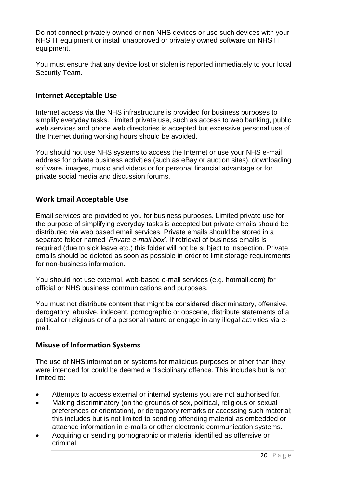Do not connect privately owned or non NHS devices or use such devices with your NHS IT equipment or install unapproved or privately owned software on NHS IT equipment.

You must ensure that any device lost or stolen is reported immediately to your local Security Team.

## **Internet Acceptable Use**

Internet access via the NHS infrastructure is provided for business purposes to simplify everyday tasks. Limited private use, such as access to web banking, public web services and phone web directories is accepted but excessive personal use of the Internet during working hours should be avoided.

You should not use NHS systems to access the Internet or use your NHS e-mail address for private business activities (such as eBay or auction sites), downloading software, images, music and videos or for personal financial advantage or for private social media and discussion forums.

## **Work Email Acceptable Use**

Email services are provided to you for business purposes. Limited private use for the purpose of simplifying everyday tasks is accepted but private emails should be distributed via web based email services. Private emails should be stored in a separate folder named '*Private e-mail box*'. If retrieval of business emails is required (due to sick leave etc.) this folder will not be subject to inspection. Private emails should be deleted as soon as possible in order to limit storage requirements for non-business information.

You should not use external, web-based e-mail services (e.g. hotmail.com) for official or NHS business communications and purposes.

You must not distribute content that might be considered discriminatory, offensive, derogatory, abusive, indecent, pornographic or obscene, distribute statements of a political or religious or of a personal nature or engage in any illegal activities via email.

#### **Misuse of Information Systems**

The use of NHS information or systems for malicious purposes or other than they were intended for could be deemed a disciplinary offence. This includes but is not limited to:

- Attempts to access external or internal systems you are not authorised for.
- Making discriminatory (on the grounds of sex, political, religious or sexual preferences or orientation), or derogatory remarks or accessing such material; this includes but is not limited to sending offending material as embedded or attached information in e-mails or other electronic communication systems.
- Acquiring or sending pornographic or material identified as offensive or criminal.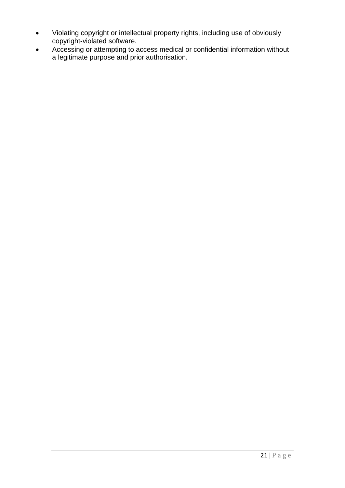- Violating copyright or intellectual property rights, including use of obviously copyright-violated software.
- Accessing or attempting to access medical or confidential information without a legitimate purpose and prior authorisation.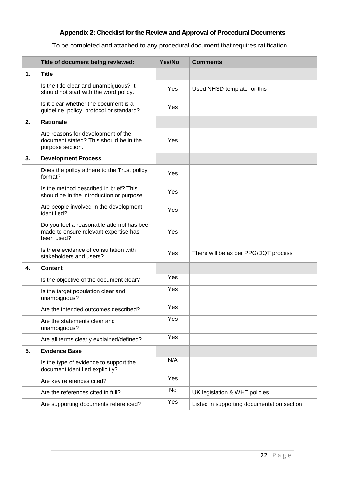## **Appendix 2: Checklist for the Review and Approval of Procedural Documents**

To be completed and attached to any procedural document that requires ratification

|    | Title of document being reviewed:                                                                | Yes/No | <b>Comments</b>                            |
|----|--------------------------------------------------------------------------------------------------|--------|--------------------------------------------|
| 1. | <b>Title</b>                                                                                     |        |                                            |
|    | Is the title clear and unambiguous? It<br>should not start with the word policy.                 | Yes    | Used NHSD template for this                |
|    | Is it clear whether the document is a<br>guideline, policy, protocol or standard?                | Yes    |                                            |
| 2. | <b>Rationale</b>                                                                                 |        |                                            |
|    | Are reasons for development of the<br>document stated? This should be in the<br>purpose section. | Yes    |                                            |
| 3. | <b>Development Process</b>                                                                       |        |                                            |
|    | Does the policy adhere to the Trust policy<br>format?                                            | Yes    |                                            |
|    | Is the method described in brief? This<br>should be in the introduction or purpose.              | Yes    |                                            |
|    | Are people involved in the development<br>identified?                                            | Yes    |                                            |
|    | Do you feel a reasonable attempt has been<br>made to ensure relevant expertise has<br>been used? | Yes    |                                            |
|    | Is there evidence of consultation with<br>stakeholders and users?                                | Yes    | There will be as per PPG/DQT process       |
| 4. | <b>Content</b>                                                                                   |        |                                            |
|    | Is the objective of the document clear?                                                          | Yes    |                                            |
|    | Is the target population clear and<br>unambiguous?                                               | Yes    |                                            |
|    | Are the intended outcomes described?                                                             | Yes    |                                            |
|    | Are the statements clear and<br>unambiguous?                                                     | Yes    |                                            |
|    | Are all terms clearly explained/defined?                                                         | Yes    |                                            |
| 5. | <b>Evidence Base</b>                                                                             |        |                                            |
|    | Is the type of evidence to support the<br>document identified explicitly?                        | N/A    |                                            |
|    | Are key references cited?                                                                        | Yes    |                                            |
|    | Are the references cited in full?                                                                | No     | UK legislation & WHT policies              |
|    | Are supporting documents referenced?                                                             | Yes    | Listed in supporting documentation section |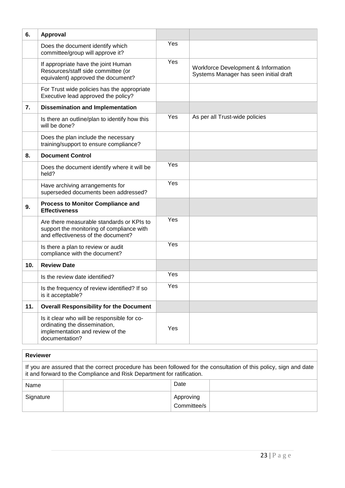| 6.  | Approval                                                                                                                           |     |                                                                               |
|-----|------------------------------------------------------------------------------------------------------------------------------------|-----|-------------------------------------------------------------------------------|
|     | Does the document identify which<br>committee/group will approve it?                                                               | Yes |                                                                               |
|     | If appropriate have the joint Human<br>Resources/staff side committee (or<br>equivalent) approved the document?                    | Yes | Workforce Development & Information<br>Systems Manager has seen initial draft |
|     | For Trust wide policies has the appropriate<br>Executive lead approved the policy?                                                 |     |                                                                               |
| 7.  | <b>Dissemination and Implementation</b>                                                                                            |     |                                                                               |
|     | Is there an outline/plan to identify how this<br>will be done?                                                                     | Yes | As per all Trust-wide policies                                                |
|     | Does the plan include the necessary<br>training/support to ensure compliance?                                                      |     |                                                                               |
| 8.  | <b>Document Control</b>                                                                                                            |     |                                                                               |
|     | Does the document identify where it will be<br>held?                                                                               | Yes |                                                                               |
|     | Have archiving arrangements for<br>superseded documents been addressed?                                                            | Yes |                                                                               |
| 9.  | <b>Process to Monitor Compliance and</b><br><b>Effectiveness</b>                                                                   |     |                                                                               |
|     | Are there measurable standards or KPIs to<br>support the monitoring of compliance with<br>and effectiveness of the document?       | Yes |                                                                               |
|     | Is there a plan to review or audit<br>compliance with the document?                                                                | Yes |                                                                               |
| 10. | <b>Review Date</b>                                                                                                                 |     |                                                                               |
|     | Is the review date identified?                                                                                                     | Yes |                                                                               |
|     | Is the frequency of review identified? If so<br>is it acceptable?                                                                  | Yes |                                                                               |
| 11. | <b>Overall Responsibility for the Document</b>                                                                                     |     |                                                                               |
|     | Is it clear who will be responsible for co-<br>ordinating the dissemination,<br>implementation and review of the<br>documentation? | Yes |                                                                               |

#### **Reviewer**

If you are assured that the correct procedure has been followed for the consultation of this policy, sign and date it and forward to the Compliance and Risk Department for ratification.

| Name      | Date                     |  |
|-----------|--------------------------|--|
| Signature | Approving<br>Committee/s |  |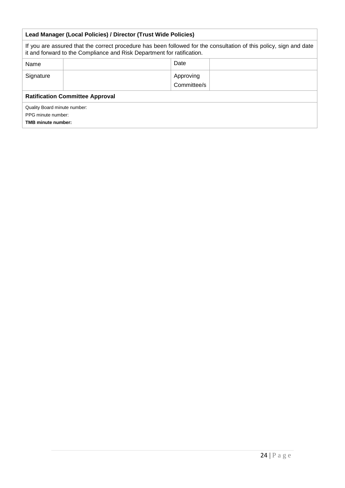| Lead Manager (Local Policies) / Director (Trust Wide Policies)                                                                                                                               |                          |  |  |  |
|----------------------------------------------------------------------------------------------------------------------------------------------------------------------------------------------|--------------------------|--|--|--|
| If you are assured that the correct procedure has been followed for the consultation of this policy, sign and date<br>it and forward to the Compliance and Risk Department for ratification. |                          |  |  |  |
| Name                                                                                                                                                                                         | Date                     |  |  |  |
| Signature                                                                                                                                                                                    | Approving<br>Committee/s |  |  |  |
| <b>Ratification Committee Approval</b>                                                                                                                                                       |                          |  |  |  |
| Quality Board minute number:<br>PPG minute number:<br><b>TMB minute number:</b>                                                                                                              |                          |  |  |  |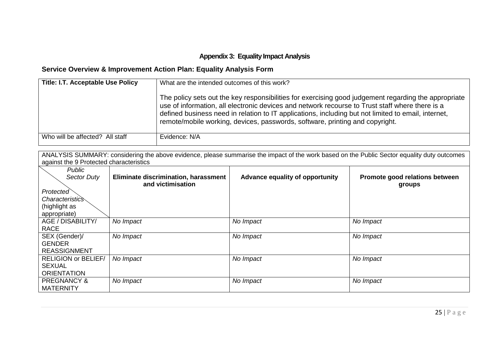### **Appendix 3: Equality Impact Analysis**

# **Service Overview & Improvement Action Plan: Equality Analysis Form**

| <b>Title: I.T. Acceptable Use Policy</b> | What are the intended outcomes of this work?<br>The policy sets out the key responsibilities for exercising good judgement regarding the appropriate<br>use of information, all electronic devices and network recourse to Trust staff where there is a<br>defined business need in relation to IT applications, including but not limited to email, internet,<br>remote/mobile working, devices, passwords, software, printing and copyright. |
|------------------------------------------|------------------------------------------------------------------------------------------------------------------------------------------------------------------------------------------------------------------------------------------------------------------------------------------------------------------------------------------------------------------------------------------------------------------------------------------------|
| Who will be affected? All staff          | Evidence: N/A                                                                                                                                                                                                                                                                                                                                                                                                                                  |

ANALYSIS SUMMARY: considering the above evidence, please summarise the impact of the work based on the Public Sector equality duty outcomes against the 9 Protected characteristics

| Public                     |                                      |                                 |                                |
|----------------------------|--------------------------------------|---------------------------------|--------------------------------|
| <b>Sector Duty</b>         | Eliminate discrimination, harassment | Advance equality of opportunity | Promote good relations between |
|                            | and victimisation                    |                                 | groups                         |
| Protected                  |                                      |                                 |                                |
| <i>Characteristics</i>     |                                      |                                 |                                |
| (highlight as              |                                      |                                 |                                |
| appropriate)               |                                      |                                 |                                |
| AGE / DISABILITY/          | No Impact                            | No Impact                       | No Impact                      |
| <b>RACE</b>                |                                      |                                 |                                |
| SEX (Gender)/              | No Impact                            | No Impact                       | No Impact                      |
| <b>GENDER</b>              |                                      |                                 |                                |
| <b>REASSIGNMENT</b>        |                                      |                                 |                                |
| <b>RELIGION or BELIEF/</b> | No Impact                            | No Impact                       | No Impact                      |
| <b>SEXUAL</b>              |                                      |                                 |                                |
| <b>ORIENTATION</b>         |                                      |                                 |                                |
| <b>PREGNANCY &amp;</b>     | No Impact                            | No Impact                       | No Impact                      |
| <b>MATERNITY</b>           |                                      |                                 |                                |